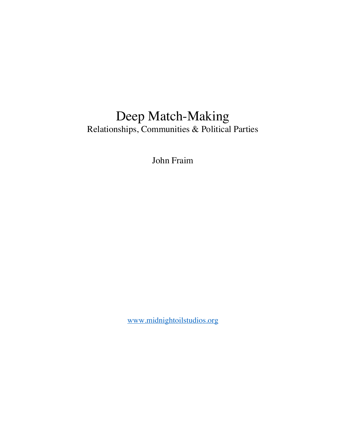# Deep Match-Making Relationships, Communities & Political Parties

John Fraim

www.midnightoilstudios.org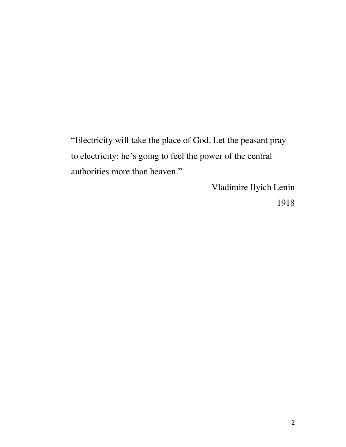"Electricity will take the place of God. Let the peasant pray to electricity: he's going to feel the power of the central authorities more than heaven."

> Vladimire Ilyich Lenin 1918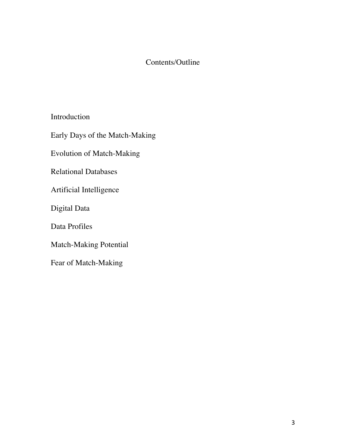### Contents/Outline

Introduction

Early Days of the Match-Making

Evolution of Match-Making

Relational Databases

Artificial Intelligence

Digital Data

Data Profiles

Match-Making Potential

Fear of Match-Making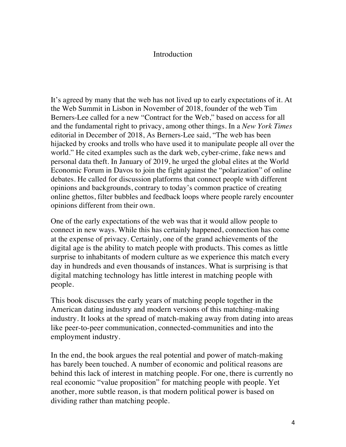#### Introduction

It's agreed by many that the web has not lived up to early expectations of it. At the Web Summit in Lisbon in November of 2018, founder of the web Tim Berners-Lee called for a new "Contract for the Web," based on access for all and the fundamental right to privacy, among other things. In a *New York Times* editorial in December of 2018, As Berners-Lee said, "The web has been hijacked by crooks and trolls who have used it to manipulate people all over the world." He cited examples such as the dark web, cyber-crime, fake news and personal data theft. In January of 2019, he urged the global elites at the World Economic Forum in Davos to join the fight against the "polarization" of online debates. He called for discussion platforms that connect people with different opinions and backgrounds, contrary to today's common practice of creating online ghettos, filter bubbles and feedback loops where people rarely encounter opinions different from their own.

One of the early expectations of the web was that it would allow people to connect in new ways. While this has certainly happened, connection has come at the expense of privacy. Certainly, one of the grand achievements of the digital age is the ability to match people with products. This comes as little surprise to inhabitants of modern culture as we experience this match every day in hundreds and even thousands of instances. What is surprising is that digital matching technology has little interest in matching people with people.

This book discusses the early years of matching people together in the American dating industry and modern versions of this matching-making industry. It looks at the spread of match-making away from dating into areas like peer-to-peer communication, connected-communities and into the employment industry.

In the end, the book argues the real potential and power of match-making has barely been touched. A number of economic and political reasons are behind this lack of interest in matching people. For one, there is currently no real economic "value proposition" for matching people with people. Yet another, more subtle reason, is that modern political power is based on dividing rather than matching people.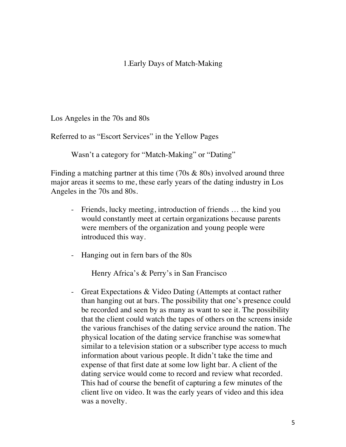#### 1.Early Days of Match-Making

Los Angeles in the 70s and 80s

Referred to as "Escort Services" in the Yellow Pages

Wasn't a category for "Match-Making" or "Dating"

Finding a matching partner at this time (70s & 80s) involved around three major areas it seems to me, these early years of the dating industry in Los Angeles in the 70s and 80s.

- Friends, lucky meeting, introduction of friends … the kind you would constantly meet at certain organizations because parents were members of the organization and young people were introduced this way.
- Hanging out in fern bars of the 80s

Henry Africa's & Perry's in San Francisco

- Great Expectations & Video Dating (Attempts at contact rather than hanging out at bars. The possibility that one's presence could be recorded and seen by as many as want to see it. The possibility that the client could watch the tapes of others on the screens inside the various franchises of the dating service around the nation. The physical location of the dating service franchise was somewhat similar to a television station or a subscriber type access to much information about various people. It didn't take the time and expense of that first date at some low light bar. A client of the dating service would come to record and review what recorded. This had of course the benefit of capturing a few minutes of the client live on video. It was the early years of video and this idea was a novelty.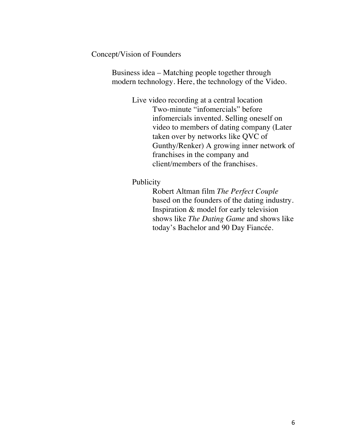Concept/Vision of Founders

Business idea – Matching people together through modern technology. Here, the technology of the Video.

> Live video recording at a central location Two-minute "infomercials" before infomercials invented. Selling oneself on video to members of dating company (Later taken over by networks like QVC of Gunthy/Renker) A growing inner network of franchises in the company and client/members of the franchises.

Publicity

Robert Altman film *The Perfect Couple* based on the founders of the dating industry. Inspiration & model for early television shows like *The Dating Game* and shows like today's Bachelor and 90 Day Fiancée.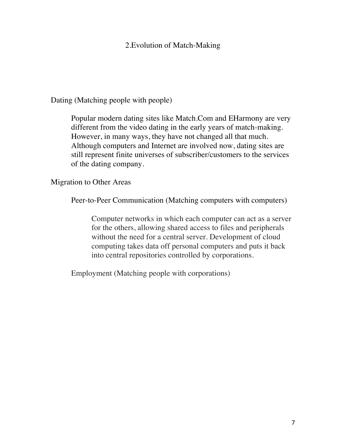#### 2.Evolution of Match-Making

Dating (Matching people with people)

Popular modern dating sites like Match.Com and EHarmony are very different from the video dating in the early years of match-making. However, in many ways, they have not changed all that much. Although computers and Internet are involved now, dating sites are still represent finite universes of subscriber/customers to the services of the dating company.

Migration to Other Areas

Peer-to-Peer Communication (Matching computers with computers)

Computer networks in which each computer can act as a server for the others, allowing shared access to files and peripherals without the need for a central server. Development of cloud computing takes data off personal computers and puts it back into central repositories controlled by corporations.

Employment (Matching people with corporations)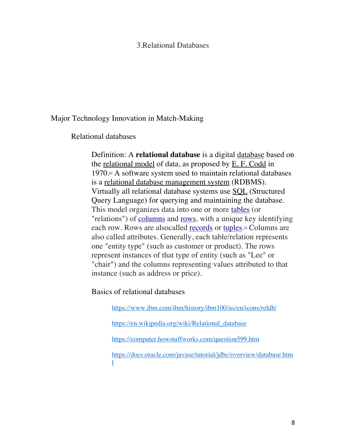#### 3.Relational Databases

#### Major Technology Innovation in Match-Making

Relational databases

Definition: A **relational database** is a digital database based on the relational model of data, as proposed by E. F. Codd in  $1970$ .<sup> $\text{m}$ </sup> A software system used to maintain relational databases is a relational database management system (RDBMS). Virtually all relational database systems use SQL (Structured Query Language) for querying and maintaining the database. This model organizes data into one or more tables (or "relations") of columns and rows, with a unique key identifying each row. Rows are alsocalled <u>records</u> or <u>tuples</u>.¤ Columns are also called attributes. Generally, each table/relation represents one "entity type" (such as customer or product). The rows represent instances of that type of entity (such as "Lee" or "chair") and the columns representing values attributed to that instance (such as address or price).

Basics of relational databases

https://www.ibm.com/ibm/history/ibm100/us/en/icons/reldb/

https://en.wikipedia.org/wiki/Relational\_database

https://computer.howstuffworks.com/question599.htm

https://docs.oracle.com/javase/tutorial/jdbc/overview/database.htm l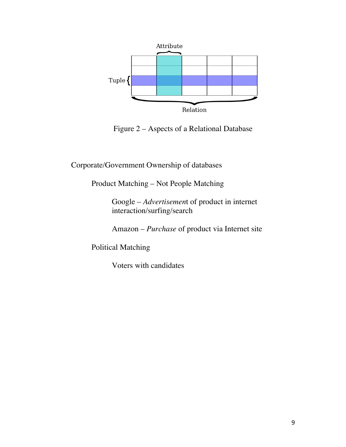

Figure 2 – Aspects of a Relational Database

Corporate/Government Ownership of databases

Product Matching – Not People Matching

Google – *Advertisemen*t of product in internet interaction/surfing/search

Amazon – *Purchase* of product via Internet site

Political Matching

Voters with candidates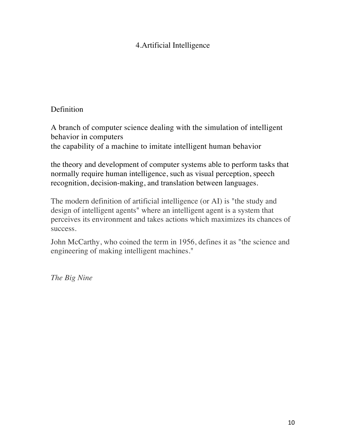### 4.Artificial Intelligence

#### Definition

A branch of computer science dealing with the simulation of intelligent behavior in computers the capability of a machine to imitate intelligent human behavior

the theory and development of computer systems able to perform tasks that normally require human intelligence, such as visual perception, speech recognition, decision-making, and translation between languages.

The modern definition of artificial intelligence (or AI) is "the study and design of intelligent agents" where an intelligent agent is a system that perceives its environment and takes actions which maximizes its chances of success.

John McCarthy, who coined the term in 1956, defines it as "the science and engineering of making intelligent machines."

*The Big Nine*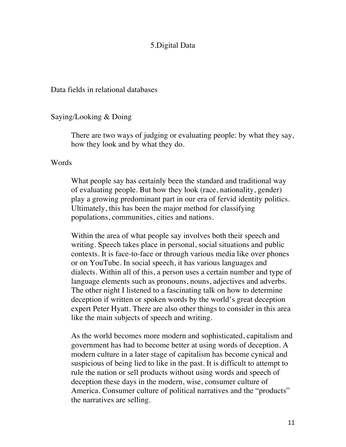#### 5.Digital Data

Data fields in relational databases

#### Saying/Looking & Doing

There are two ways of judging or evaluating people: by what they say, how they look and by what they do.

#### Words

What people say has certainly been the standard and traditional way of evaluating people. But how they look (race, nationality, gender) play a growing predominant part in our era of fervid identity politics. Ultimately, this has been the major method for classifying populations, communities, cities and nations.

Within the area of what people say involves both their speech and writing. Speech takes place in personal, social situations and public contexts. It is face-to-face or through various media like over phones or on YouTube. In social speech, it has various languages and dialects. Within all of this, a person uses a certain number and type of language elements such as pronouns, nouns, adjectives and adverbs. The other night I listened to a fascinating talk on how to determine deception if written or spoken words by the world's great deception expert Peter Hyatt. There are also other things to consider in this area like the main subjects of speech and writing.

As the world becomes more modern and sophisticated, capitalism and government has had to become better at using words of deception. A modern culture in a later stage of capitalism has become cynical and suspicious of being lied to like in the past. It is difficult to attempt to rule the nation or sell products without using words and speech of deception these days in the modern, wise, consumer culture of America. Consumer culture of political narratives and the "products" the narratives are selling.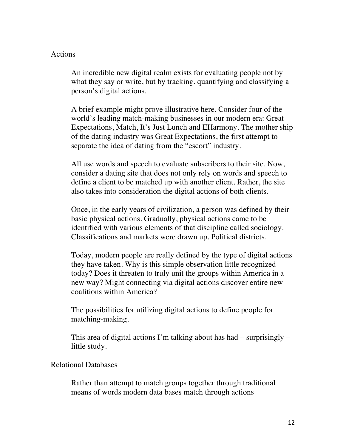#### Actions

An incredible new digital realm exists for evaluating people not by what they say or write, but by tracking, quantifying and classifying a person's digital actions.

A brief example might prove illustrative here. Consider four of the world's leading match-making businesses in our modern era: Great Expectations, Match, It's Just Lunch and EHarmony. The mother ship of the dating industry was Great Expectations, the first attempt to separate the idea of dating from the "escort" industry.

All use words and speech to evaluate subscribers to their site. Now, consider a dating site that does not only rely on words and speech to define a client to be matched up with another client. Rather, the site also takes into consideration the digital actions of both clients.

Once, in the early years of civilization, a person was defined by their basic physical actions. Gradually, physical actions came to be identified with various elements of that discipline called sociology. Classifications and markets were drawn up. Political districts.

Today, modern people are really defined by the type of digital actions they have taken. Why is this simple observation little recognized today? Does it threaten to truly unit the groups within America in a new way? Might connecting via digital actions discover entire new coalitions within America?

The possibilities for utilizing digital actions to define people for matching-making.

This area of digital actions I'm talking about has had – surprisingly – little study.

#### Relational Databases

Rather than attempt to match groups together through traditional means of words modern data bases match through actions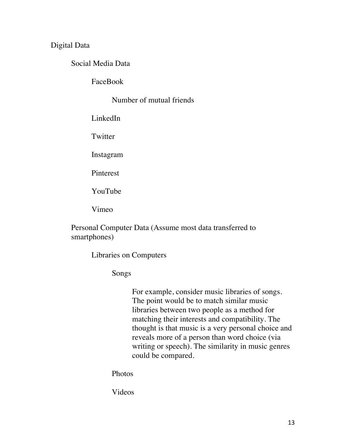#### Digital Data

#### Social Media Data

FaceBook

Number of mutual friends

LinkedIn

**Twitter** 

Instagram

Pinterest

YouTube

Vimeo

Personal Computer Data (Assume most data transferred to smartphones)

Libraries on Computers

Songs

For example, consider music libraries of songs. The point would be to match similar music libraries between two people as a method for matching their interests and compatibility. The thought is that music is a very personal choice and reveals more of a person than word choice (via writing or speech). The similarity in music genres could be compared.

Photos

Videos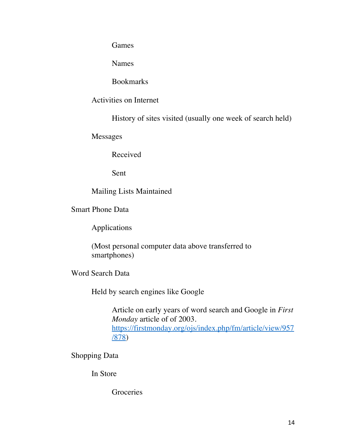Games

Names

Bookmarks

#### Activities on Internet

History of sites visited (usually one week of search held)

Messages

Received

Sent

Mailing Lists Maintained

Smart Phone Data

Applications

(Most personal computer data above transferred to smartphones)

Word Search Data

Held by search engines like Google

Article on early years of word search and Google in *First Monday* article of of 2003. https://firstmonday.org/ojs/index.php/fm/article/view/957 /878)

Shopping Data

In Store

**Groceries**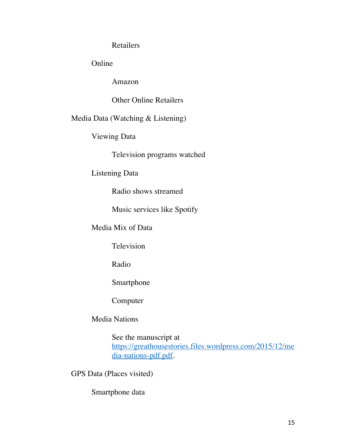Retailers

Online

Amazon

Other Online Retailers

Media Data (Watching & Listening)

Viewing Data

Television programs watched

Listening Data

Radio shows streamed

Music services like Spotify

Media Mix of Data

Television

Radio

Smartphone

Computer

Media Nations

See the manuscript at https://greathousestories.files.wordpress.com/2015/12/me dia-nations-pdf.pdf.

GPS Data (Places visited)

Smartphone data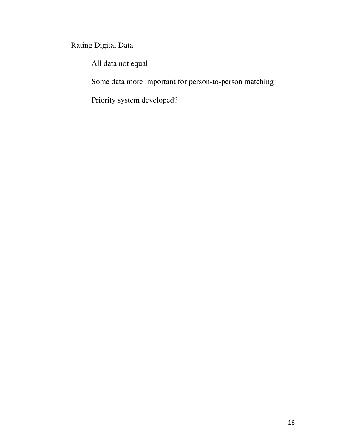## Rating Digital Data

All data not equal

Some data more important for person-to-person matching

Priority system developed?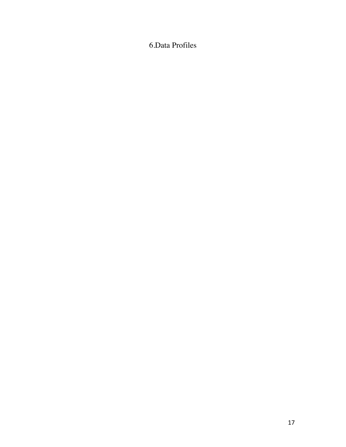6.Data Profiles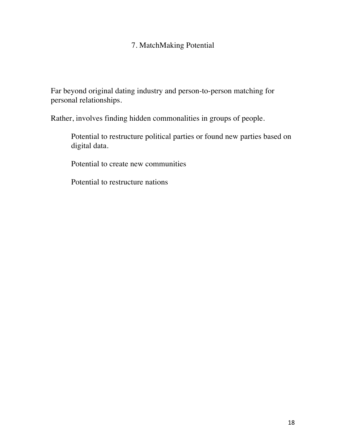# 7. MatchMaking Potential

Far beyond original dating industry and person-to-person matching for personal relationships.

Rather, involves finding hidden commonalities in groups of people.

Potential to restructure political parties or found new parties based on digital data.

Potential to create new communities

Potential to restructure nations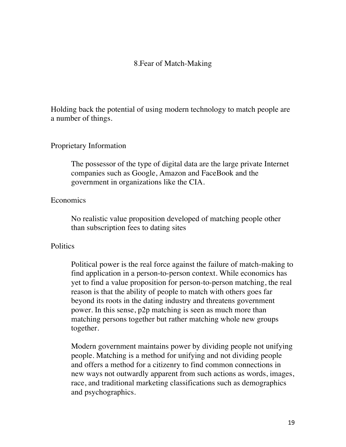#### 8.Fear of Match-Making

Holding back the potential of using modern technology to match people are a number of things.

#### Proprietary Information

The possessor of the type of digital data are the large private Internet companies such as Google, Amazon and FaceBook and the government in organizations like the CIA.

#### **Economics**

No realistic value proposition developed of matching people other than subscription fees to dating sites

#### **Politics**

Political power is the real force against the failure of match-making to find application in a person-to-person context. While economics has yet to find a value proposition for person-to-person matching, the real reason is that the ability of people to match with others goes far beyond its roots in the dating industry and threatens government power. In this sense, p2p matching is seen as much more than matching persons together but rather matching whole new groups together.

Modern government maintains power by dividing people not unifying people. Matching is a method for unifying and not dividing people and offers a method for a citizenry to find common connections in new ways not outwardly apparent from such actions as words, images, race, and traditional marketing classifications such as demographics and psychographics.